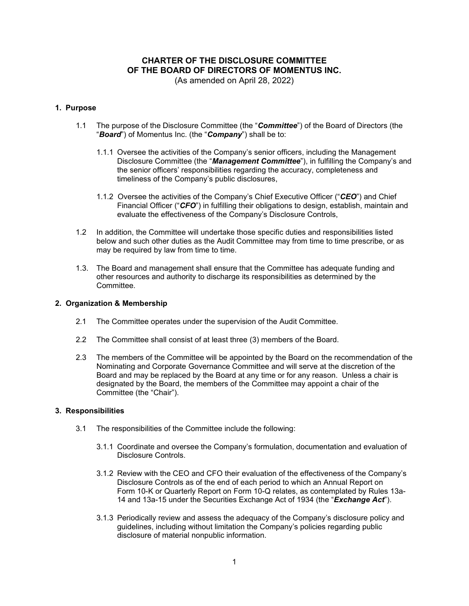# **CHARTER OF THE DISCLOSURE COMMITTEE OF THE BOARD OF DIRECTORS OF MOMENTUS INC.**

(As amended on April 28, 2022)

# **1. Purpose**

- 1.1 The purpose of the Disclosure Committee (the "*Committee*") of the Board of Directors (the "*Board*") of Momentus Inc. (the "*Company*") shall be to:
	- 1.1.1 Oversee the activities of the Company's senior officers, including the Management Disclosure Committee (the "*Management Committee*"), in fulfilling the Company's and the senior officers' responsibilities regarding the accuracy, completeness and timeliness of the Company's public disclosures,
	- 1.1.2 Oversee the activities of the Company's Chief Executive Officer ("*CEO*") and Chief Financial Officer ("*CFO*") in fulfilling their obligations to design, establish, maintain and evaluate the effectiveness of the Company's Disclosure Controls,
- 1.2 In addition, the Committee will undertake those specific duties and responsibilities listed below and such other duties as the Audit Committee may from time to time prescribe, or as may be required by law from time to time.
- 1.3. The Board and management shall ensure that the Committee has adequate funding and other resources and authority to discharge its responsibilities as determined by the **Committee**

## **2. Organization & Membership**

- 2.1 The Committee operates under the supervision of the Audit Committee.
- 2.2 The Committee shall consist of at least three (3) members of the Board.
- 2.3 The members of the Committee will be appointed by the Board on the recommendation of the Nominating and Corporate Governance Committee and will serve at the discretion of the Board and may be replaced by the Board at any time or for any reason. Unless a chair is designated by the Board, the members of the Committee may appoint a chair of the Committee (the "Chair").

# **3. Responsibilities**

- 3.1 The responsibilities of the Committee include the following:
	- 3.1.1 Coordinate and oversee the Company's formulation, documentation and evaluation of Disclosure Controls.
	- 3.1.2 Review with the CEO and CFO their evaluation of the effectiveness of the Company's Disclosure Controls as of the end of each period to which an Annual Report on Form 10-K or Quarterly Report on Form 10-Q relates, as contemplated by Rules 13a-14 and 13a-15 under the Securities Exchange Act of 1934 (the "*Exchange Act*").
	- 3.1.3 Periodically review and assess the adequacy of the Company's disclosure policy and guidelines, including without limitation the Company's policies regarding public disclosure of material nonpublic information.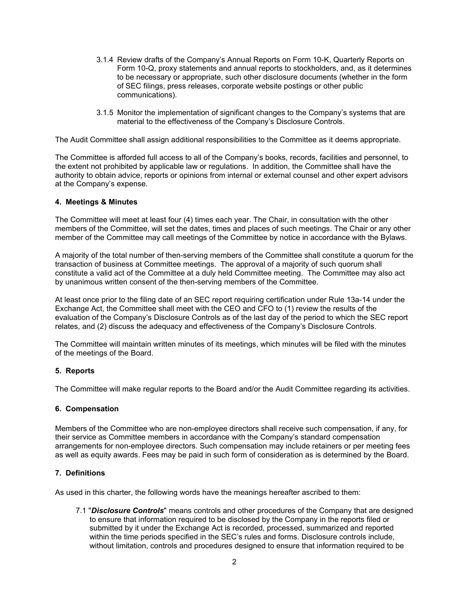- 3.1.4 Review drafts of the Company's Annual Reports on Form 10-K, Quarterly Reports on Form 10-Q, proxy statements and annual reports to stockholders, and, as it determines to be necessary or appropriate, such other disclosure documents (whether in the form of SEC filings, press releases, corporate website postings or other public communications).
- 3.1.5 Monitor the implementation of significant changes to the Company's systems that are material to the effectiveness of the Company's Disclosure Controls.

The Audit Committee shall assign additional responsibilities to the Committee as it deems appropriate.

The Committee is afforded full access to all of the Company's books, records, facilities and personnel, to the extent not prohibited by applicable law or regulations. In addition, the Committee shall have the authority to obtain advice, reports or opinions from internal or external counsel and other expert advisors at the Company's expense.

#### **4. Meetings & Minutes**

The Committee will meet at least four (4) times each year. The Chair, in consultation with the other members of the Committee, will set the dates, times and places of such meetings. The Chair or any other member of the Committee may call meetings of the Committee by notice in accordance with the Bylaws.

A majority of the total number of then-serving members of the Committee shall constitute a quorum for the transaction of business at Committee meetings. The approval of a majority of such quorum shall constitute a valid act of the Committee at a duly held Committee meeting. The Committee may also act by unanimous written consent of the then-serving members of the Committee.

At least once prior to the filing date of an SEC report requiring certification under Rule 13a-14 under the Exchange Act, the Committee shall meet with the CEO and CFO to (1) review the results of the evaluation of the Company's Disclosure Controls as of the last day of the period to which the SEC report relates, and (2) discuss the adequacy and effectiveness of the Company's Disclosure Controls.

The Committee will maintain written minutes of its meetings, which minutes will be filed with the minutes of the meetings of the Board.

## **5. Reports**

The Committee will make regular reports to the Board and/or the Audit Committee regarding its activities.

#### **6. Compensation**

Members of the Committee who are non-employee directors shall receive such compensation, if any, for their service as Committee members in accordance with the Company's standard compensation arrangements for non-employee directors. Such compensation may include retainers or per meeting fees as well as equity awards. Fees may be paid in such form of consideration as is determined by the Board.

#### **7. Definitions**

As used in this charter, the following words have the meanings hereafter ascribed to them:

7.1 "*Disclosure Controls*" means controls and other procedures of the Company that are designed to ensure that information required to be disclosed by the Company in the reports filed or submitted by it under the Exchange Act is recorded, processed, summarized and reported within the time periods specified in the SEC's rules and forms. Disclosure controls include, without limitation, controls and procedures designed to ensure that information required to be